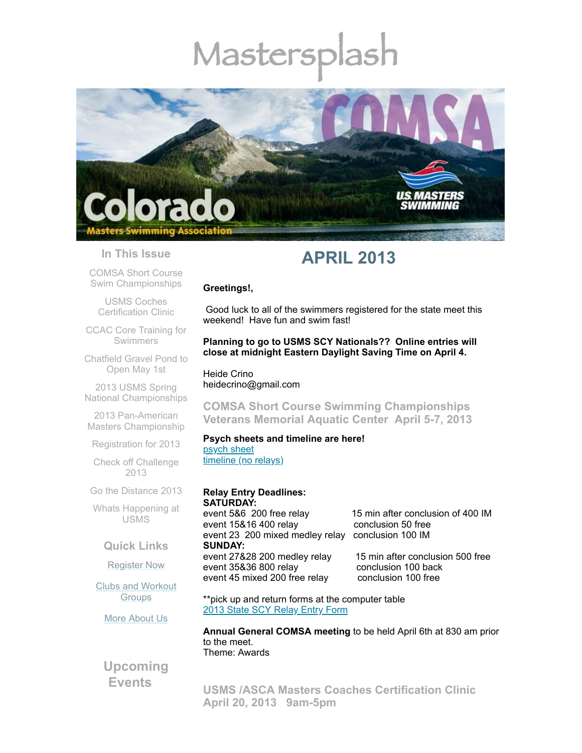# Mastersp



#### **In This Issue**

COMSA Short Course Swim [Championships](#page-0-0)

USMS Coches [Certification](#page-0-1) Clinic

CCAC Core Training for [Swimmers](#page-1-0)

[Chatfield](#page-2-0) Gravel Pond to Open May 1st

2013 USMS Spring National [Championships](#page-2-1)

2013 Pan-American Masters [Championship](#page-3-0)

[Registration](#page-3-1) for 2013

Check off [Challenge](#page-4-0) 2013

Go the [Distance](#page-4-1) 2013

Whats [Happening](#page-4-2) at USMS

# **Quick Links**

#### [Register](http://comsa.org/joining/index.html) Now

Clubs and [Workout](http://comsa.org/clubs/index.html) **Groups** 

More [About](http://comsa.org/) Us

**Upcoming Events**

# **APRIL 2013**

#### **Greetings!,**

Good luck to all of the swimmers registered for the state meet this weekend! Have fun and swim fast!

**Planning to go to USMS SCY Nationals?? Online entries will close at midnight Eastern Daylight Saving Time on April 4.**

Heide Crino heidecrino@gmail.com

<span id="page-0-0"></span>**COMSA Short Course Swimming Championships Veterans Memorial Aquatic Center April 5-7, 2013**

#### **Psych sheets and timeline are here!**

[psych](http://library.constantcontact.com/doc201/1108936408185/doc/OBOHHbN1c9pMcmUQ.pdf) sheet [timeline](http://library.constantcontact.com/doc201/1108936408185/doc/INRu58zF4DFjsjrd.pdf) (no relays)

#### **Relay Entry Deadlines: SATURDAY:**

event 5&6 200 free relay 15 min after conclusion of 400 IM event 15&16 400 relay conclusion 50 free event 23 200 mixed medley relay conclusion 100 IM **SUNDAY:** event 27&28 200 medley relay 15 min after conclusion 500 free<br>event 35&36 800 relay conclusion 100 back event 35&36 800 relav event 45 mixed 200 free relay conclusion 100 free

\*\*pick up and return forms at the computer table 2013 State SCY [Relay](http://library.constantcontact.com/doc201/1108936408185/doc/88JZM4Ki0er02O9y.pdf) Entry Form

**Annual General COMSA meeting** to be held April 6th at 830 am prior to the meet. Theme: Awards

<span id="page-0-1"></span>**USMS /ASCA Masters Coaches Certification Clinic April 20, 2013 9am-5pm**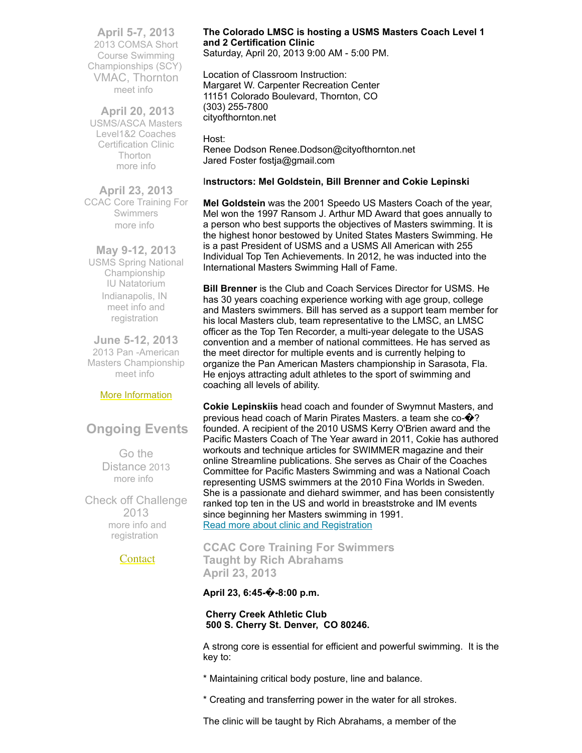**April 5-7, 2013** 2013 COMSA Short Course Swimming Championships (SCY) VMAC, Thornton [meet](http://www.usms.org/comp/event.php?MeetID=20130405StateY) info

 **April 20, 2013**  USMS/ASCA Masters Level1&2 Coaches Certification Clinic Thorton [more](https://www.clubassistant.com/club/clinics/reserve.cfm?c=1758&cid=55901) info

**April 23, 2013** CCAC Core Training For Swimmers [more](http://library.constantcontact.com/doc201/1108936408185/doc/Pi99EYAnlw0Weh2k.pdf) info

**May 9-12, 2013** USMS Spring National Championship IU Natatorium Indianapolis, IN meet info and [registration](http://www.usms.org/comp/scnats13/)

**June 5-12, 2013** 2013 Pan -American Masters Championship [meet](http://www.panamericanmasters2013.org/) info

#### More [Information](http://www.comsa.org/)

# **Ongoing Events**

Go the Distance 2013 [more](http://www.usms.org/fitness/content/gothedistance) info

Check off Challenge 2013 more info and [registration](http://www.usms.org/fitness/content/checkoff)

**[Contact](mailto:heidecrino@gmail.com?)** 

# **The Colorado LMSC is hosting a USMS Masters Coach Level 1 and 2 Certification Clinic**

Saturday, April 20, 2013 9:00 AM - 5:00 PM.

Location of Classroom Instruction: Margaret W. Carpenter Recreation Center 11151 Colorado Boulevard, Thornton, CO (303) 255-7800 cityofthornton.net

Host: Renee Dodson Renee.Dodson@cityofthornton.net Jared Foster fostja@gmail.com

#### I**nstructors: Mel Goldstein, Bill Brenner and Cokie Lepinski**

**Mel Goldstein** was the 2001 Speedo US Masters Coach of the year, Mel won the 1997 Ransom J. Arthur MD Award that goes annually to a person who best supports the objectives of Masters swimming. It is the highest honor bestowed by United States Masters Swimming. He is a past President of USMS and a USMS All American with 255 Individual Top Ten Achievements. In 2012, he was inducted into the International Masters Swimming Hall of Fame.

**Bill Brenner** is the Club and Coach Services Director for USMS. He has 30 years coaching experience working with age group, college and Masters swimmers. Bill has served as a support team member for his local Masters club, team representative to the LMSC, an LMSC officer as the Top Ten Recorder, a multi-year delegate to the USAS convention and a member of national committees. He has served as the meet director for multiple events and is currently helping to organize the Pan American Masters championship in Sarasota, Fla. He enjoys attracting adult athletes to the sport of swimming and coaching all levels of ability.

**Cokie Lepinskiis** head coach and founder of Swymnut Masters, and previous head coach of Marin Pirates Masters. a team she co-�? founded. A recipient of the 2010 USMS Kerry O'Brien award and the Pacific Masters Coach of The Year award in 2011, Cokie has authored workouts and technique articles for SWIMMER magazine and their online Streamline publications. She serves as Chair of the Coaches Committee for Pacific Masters Swimming and was a National Coach representing USMS swimmers at the 2010 Fina Worlds in Sweden. She is a passionate and diehard swimmer, and has been consistently ranked top ten in the US and world in breaststroke and IM events since beginning her Masters swimming in 1991. Read more about clinic and [Registration](https://www.clubassistant.com/club/clinics/reserve.cfm?c=1758&cid=55901)

# <span id="page-1-0"></span>**CCAC Core Training For Swimmers Taught by Rich Abrahams April 23, 2013**

**April 23, 6:45-�-8:00 p.m.**

#### **Cherry Creek Athletic Club 500 S. Cherry St. Denver, CO 80246.**

A strong core is essential for efficient and powerful swimming. It is the key to:

- \* Maintaining critical body posture, line and balance.
- \* Creating and transferring power in the water for all strokes.

The clinic will be taught by Rich Abrahams, a member of the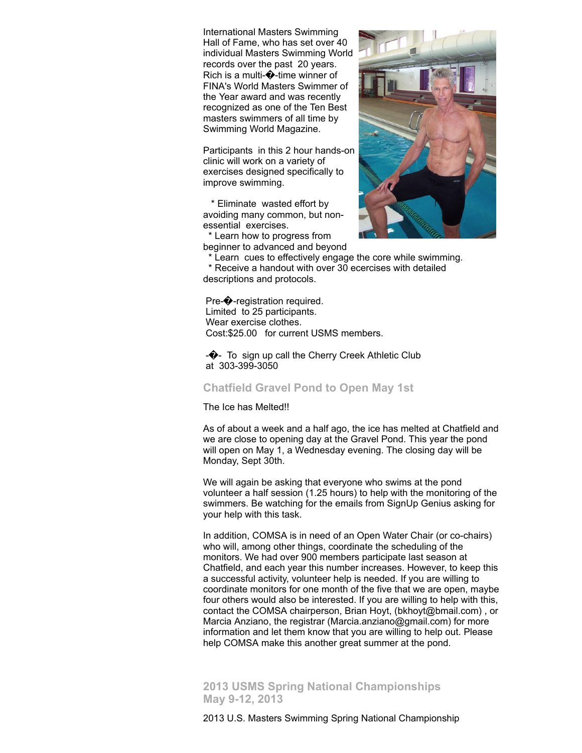International Masters Swimming Hall of Fame, who has set over 40 individual Masters Swimming World records over the past 20 years. Rich is a multi- $\hat{\bullet}$ -time winner of FINA's World Masters Swimmer of the Year award and was recently recognized as one of the Ten Best masters swimmers of all time by Swimming World Magazine.

Participants in this 2 hour hands-on clinic will work on a variety of exercises designed specifically to improve swimming.

\* Eliminate wasted effort by avoiding many common, but nonessential exercises.

\* Learn how to progress from beginner to advanced and beyond



\* Learn cues to effectively engage the core while swimming.

\* Receive a handout with over 30 ecercises with detailed descriptions and protocols.

Pre-�-registration required. Limited to 25 participants. Wear exercise clothes. Cost:\$25.00 for current USMS members.

 $-\bigodot$  To sign up call the Cherry Creek Athletic Club at 303-399-3050

#### <span id="page-2-0"></span>**Chatfield Gravel Pond to Open May 1st**

The Ice has Melted!!

As of about a week and a half ago, the ice has melted at Chatfield and we are close to opening day at the Gravel Pond. This year the pond will open on May 1, a Wednesday evening. The closing day will be Monday, Sept 30th.

We will again be asking that everyone who swims at the pond volunteer a half session (1.25 hours) to help with the monitoring of the swimmers. Be watching for the emails from SignUp Genius asking for your help with this task.

In addition, COMSA is in need of an Open Water Chair (or co-chairs) who will, among other things, coordinate the scheduling of the monitors. We had over 900 members participate last season at Chatfield, and each year this number increases. However, to keep this a successful activity, volunteer help is needed. If you are willing to coordinate monitors for one month of the five that we are open, maybe four others would also be interested. If you are willing to help with this, contact the COMSA chairperson, Brian Hoyt, (bkhoyt@bmail.com) , or Marcia Anziano, the registrar (Marcia.anziano@gmail.com) for more information and let them know that you are willing to help out. Please help COMSA make this another great summer at the pond.

<span id="page-2-1"></span>**2013 USMS Spring National Championships May 9-12, 2013**

2013 U.S. Masters Swimming Spring National Championship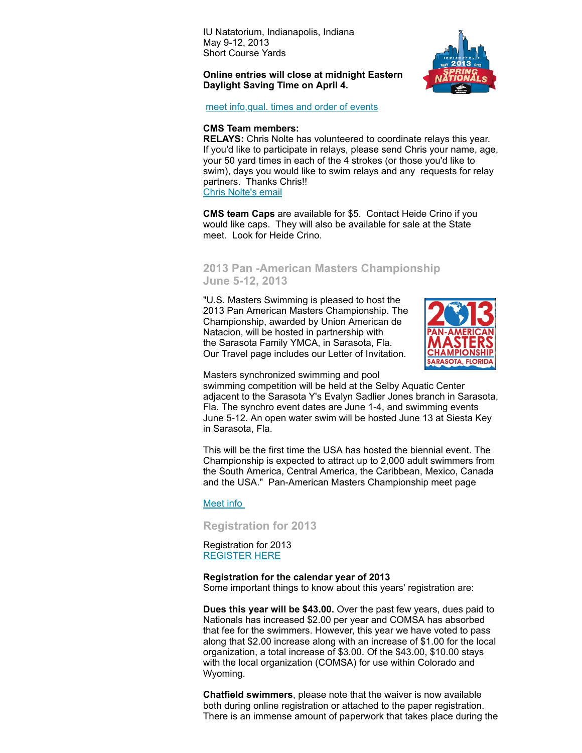IU Natatorium, Indianapolis, Indiana May 9-12, 2013 Short Course Yards

#### **Online entries will close at midnight Eastern Daylight Saving Time on April 4.**



meet [info,qual.](http://www.usms.org/comp/scnats13/) times and order of events

#### **CMS Team members:**

**RELAYS:** Chris Nolte has volunteered to coordinate relays this year. If you'd like to participate in relays, please send Chris your name, age, your 50 yard times in each of the 4 strokes (or those you'd like to swim), days you would like to swim relays and any requests for relay partners. Thanks Chris!! Chris [Nolte's](mailto:christophernolte@lendlease.com) email

**CMS team Caps** are available for \$5. Contact Heide Crino if you would like caps. They will also be available for sale at the State meet. Look for Heide Crino.

# <span id="page-3-0"></span>**2013 Pan -American Masters Championship June 5-12, 2013**

"U.S. Masters Swimming is pleased to host the 2013 Pan American Masters Championship. The Championship, awarded by Union American de Natacion, will be hosted in partnership with the Sarasota Family YMCA, in Sarasota, Fla. Our Travel page includes our Letter of Invitation.



Masters synchronized swimming and pool

swimming competition will be held at the Selby Aquatic Center adjacent to the Sarasota Y's Evalyn Sadlier Jones branch in Sarasota, Fla. The synchro event dates are June 1-4, and swimming events June 5-12. An open water swim will be hosted June 13 at Siesta Key in Sarasota, Fla.

This will be the first time the USA has hosted the biennial event. The Championship is expected to attract up to 2,000 adult swimmers from the South America, Central America, the Caribbean, Mexico, Canada and the USA." Pan-American Masters Championship meet page

#### [Meet](http://www.panamericanmasters2013.org/) info

<span id="page-3-1"></span>**Registration for 2013**

Registration for 2013 [REGISTER](http://www.comsa.org/joining/join-online.html) HERE

#### **Registration for the calendar year of 2013**

Some important things to know about this years' registration are:

**Dues this year will be \$43.00.** Over the past few years, dues paid to Nationals has increased \$2.00 per year and COMSA has absorbed that fee for the swimmers. However, this year we have voted to pass along that \$2.00 increase along with an increase of \$1.00 for the local organization, a total increase of \$3.00. Of the \$43.00, \$10.00 stays with the local organization (COMSA) for use within Colorado and Wyoming.

**Chatfield swimmers**, please note that the waiver is now available both during online registration or attached to the paper registration. There is an immense amount of paperwork that takes place during the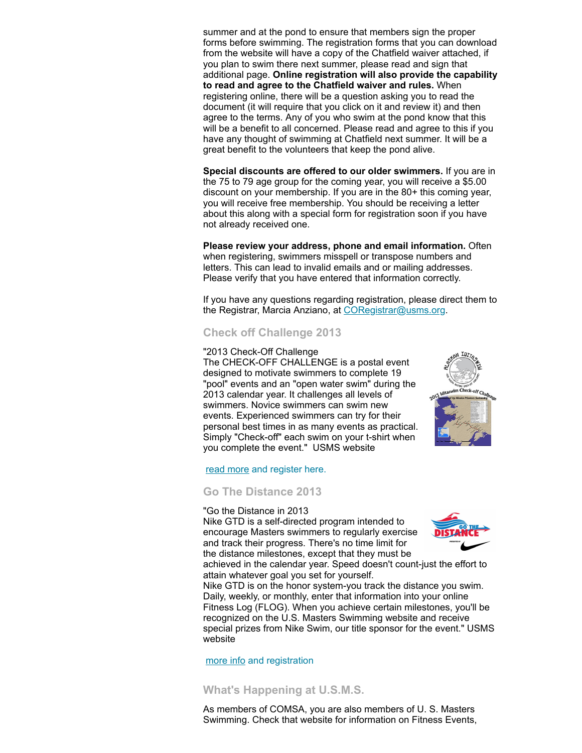summer and at the pond to ensure that members sign the proper forms before swimming. The registration forms that you can download from the website will have a copy of the Chatfield waiver attached, if you plan to swim there next summer, please read and sign that additional page. **Online registration will also provide the capability to read and agree to the Chatfield waiver and rules.** When registering online, there will be a question asking you to read the document (it will require that you click on it and review it) and then agree to the terms. Any of you who swim at the pond know that this will be a benefit to all concerned. Please read and agree to this if you have any thought of swimming at Chatfield next summer. It will be a great benefit to the volunteers that keep the pond alive.

**Special discounts are offered to our older swimmers.** If you are in the 75 to 79 age group for the coming year, you will receive a \$5.00 discount on your membership. If you are in the 80+ this coming year, you will receive free membership. You should be receiving a letter about this along with a special form for registration soon if you have not already received one.

**Please review your address, phone and email information.** Often when registering, swimmers misspell or transpose numbers and letters. This can lead to invalid emails and or mailing addresses. Please verify that you have entered that information correctly.

If you have any questions regarding registration, please direct them to the Registrar, Marcia Anziano, at [CORegistrar@usms.org.](mailto:CORegistrar@USMS.org)

# <span id="page-4-0"></span>**Check off Challenge 2013**

#### "2013 Check-Off Challenge

The CHECK-OFF CHALLENGE is a postal event designed to motivate swimmers to complete 19 "pool" events and an "open water swim" during the 2013 calendar year. It challenges all levels of swimmers. Novice swimmers can swim new events. Experienced swimmers can try for their personal best times in as many events as practical. Simply "Check-off" each swim on your t-shirt when you complete the event." USMS website



read [more](http://www.usms.org/fitness/content/checkoff) and register here.

#### <span id="page-4-1"></span>**Go The Distance 2013**

#### "Go the Distance in 2013

Nike GTD is a self-directed program intended to encourage Masters swimmers to regularly exercise and track their progress. There's no time limit for the distance milestones, except that they must be



achieved in the calendar year. Speed doesn't count-just the effort to attain whatever goal you set for yourself.

Nike GTD is on the honor system-you track the distance you swim. Daily, weekly, or monthly, enter that information into your online Fitness Log (FLOG). When you achieve certain milestones, you'll be recognized on the U.S. Masters Swimming website and receive special prizes from Nike Swim, our title sponsor for the event." USMS website

[more](http://www.usms.org/fitness/content/gothedistance) info and registration

# <span id="page-4-2"></span>**What's Happening at U.S.M.S.**

As members of COMSA, you are also members of U. S. Masters Swimming. Check that website for information on Fitness Events,